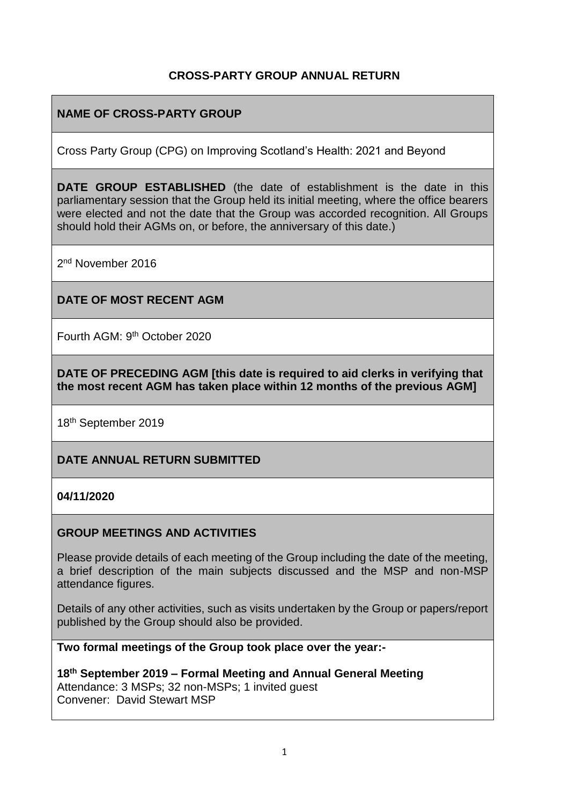### **CROSS-PARTY GROUP ANNUAL RETURN**

## **NAME OF CROSS-PARTY GROUP**

Cross Party Group (CPG) on Improving Scotland's Health: 2021 and Beyond

**DATE GROUP ESTABLISHED** (the date of establishment is the date in this parliamentary session that the Group held its initial meeting, where the office bearers were elected and not the date that the Group was accorded recognition. All Groups should hold their AGMs on, or before, the anniversary of this date.)

2<sup>nd</sup> November 2016

#### **DATE OF MOST RECENT AGM**

Fourth AGM: 9th October 2020

**DATE OF PRECEDING AGM [this date is required to aid clerks in verifying that the most recent AGM has taken place within 12 months of the previous AGM]**

18th September 2019

#### **DATE ANNUAL RETURN SUBMITTED**

#### **04/11/2020**

#### **GROUP MEETINGS AND ACTIVITIES**

Please provide details of each meeting of the Group including the date of the meeting, a brief description of the main subjects discussed and the MSP and non-MSP attendance figures.

Details of any other activities, such as visits undertaken by the Group or papers/report published by the Group should also be provided.

**Two formal meetings of the Group took place over the year:-**

**18th September 2019 – Formal Meeting and Annual General Meeting** Attendance: 3 MSPs; 32 non-MSPs; 1 invited guest Convener: David Stewart MSP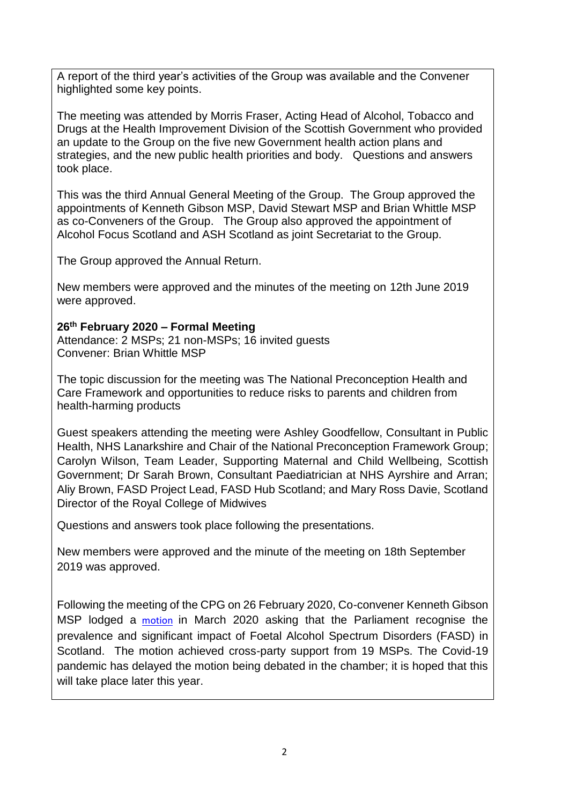A report of the third year's activities of the Group was available and the Convener highlighted some key points.

The meeting was attended by Morris Fraser, Acting Head of Alcohol, Tobacco and Drugs at the Health Improvement Division of the Scottish Government who provided an update to the Group on the five new Government health action plans and strategies, and the new public health priorities and body. Questions and answers took place.

This was the third Annual General Meeting of the Group. The Group approved the appointments of Kenneth Gibson MSP, David Stewart MSP and Brian Whittle MSP as co-Conveners of the Group. The Group also approved the appointment of Alcohol Focus Scotland and ASH Scotland as joint Secretariat to the Group.

The Group approved the Annual Return.

New members were approved and the minutes of the meeting on 12th June 2019 were approved.

#### **26 th February 2020 – Formal Meeting**

Attendance: 2 MSPs; 21 non-MSPs; 16 invited guests Convener: Brian Whittle MSP

The topic discussion for the meeting was The National Preconception Health and Care Framework and opportunities to reduce risks to parents and children from health-harming products

Guest speakers attending the meeting were Ashley Goodfellow, Consultant in Public Health, NHS Lanarkshire and Chair of the National Preconception Framework Group; Carolyn Wilson, Team Leader, Supporting Maternal and Child Wellbeing, Scottish Government; Dr Sarah Brown, Consultant Paediatrician at NHS Ayrshire and Arran; Aliy Brown, FASD Project Lead, FASD Hub Scotland; and Mary Ross Davie, Scotland Director of the Royal College of Midwives

Questions and answers took place following the presentations.

New members were approved and the minute of the meeting on 18th September 2019 was approved.

Following the meeting of the CPG on 26 February 2020, Co-convener Kenneth Gibson MSP lodged a [motion](https://www.parliament.scot/parliamentarybusiness/28877.aspx?SearchType=Advance&ReferenceNumbers=S5M-21194&ResultsPerPage=10) in March 2020 asking that the Parliament recognise the prevalence and significant impact of Foetal Alcohol Spectrum Disorders (FASD) in Scotland. The motion achieved cross-party support from 19 MSPs. The Covid-19 pandemic has delayed the motion being debated in the chamber; it is hoped that this will take place later this year.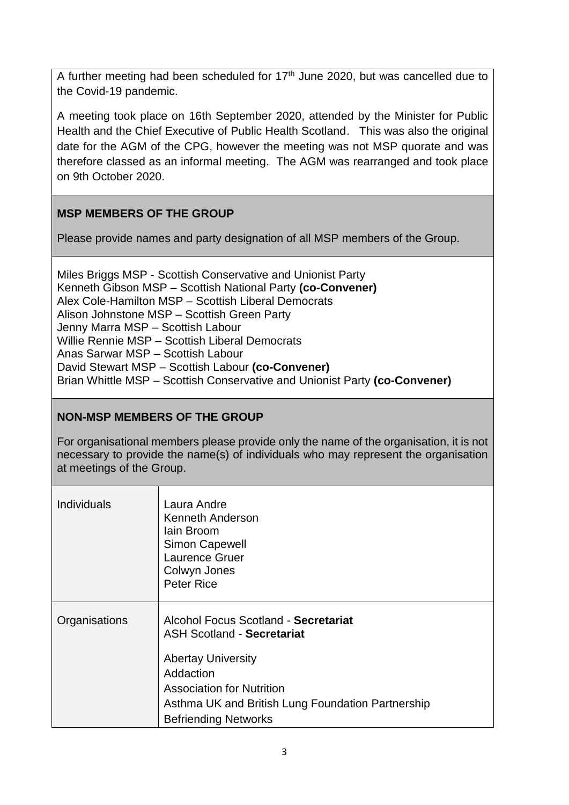A further meeting had been scheduled for  $17<sup>th</sup>$  June 2020, but was cancelled due to the Covid-19 pandemic.

A meeting took place on 16th September 2020, attended by the Minister for Public Health and the Chief Executive of Public Health Scotland. This was also the original date for the AGM of the CPG, however the meeting was not MSP quorate and was therefore classed as an informal meeting. The AGM was rearranged and took place on 9th October 2020.

# **MSP MEMBERS OF THE GROUP**

Please provide names and party designation of all MSP members of the Group.

Miles Briggs MSP - Scottish Conservative and Unionist Party Kenneth Gibson MSP – Scottish National Party **(co-Convener)** Alex Cole-Hamilton MSP – Scottish Liberal Democrats Alison Johnstone MSP – Scottish Green Party Jenny Marra MSP – Scottish Labour Willie Rennie MSP – Scottish Liberal Democrats Anas Sarwar MSP – Scottish Labour David Stewart MSP – Scottish Labour **(co-Convener)** Brian Whittle MSP – Scottish Conservative and Unionist Party **(co-Convener)**

## **NON-MSP MEMBERS OF THE GROUP**

For organisational members please provide only the name of the organisation, it is not necessary to provide the name(s) of individuals who may represent the organisation at meetings of the Group.

| <b>Individuals</b> | Laura Andre<br>Kenneth Anderson<br>Iain Broom<br><b>Simon Capewell</b><br><b>Laurence Gruer</b><br>Colwyn Jones<br>Peter Rice                                                                                                               |
|--------------------|---------------------------------------------------------------------------------------------------------------------------------------------------------------------------------------------------------------------------------------------|
| Organisations      | Alcohol Focus Scotland - Secretariat<br><b>ASH Scotland - Secretariat</b><br><b>Abertay University</b><br>Addaction<br><b>Association for Nutrition</b><br>Asthma UK and British Lung Foundation Partnership<br><b>Befriending Networks</b> |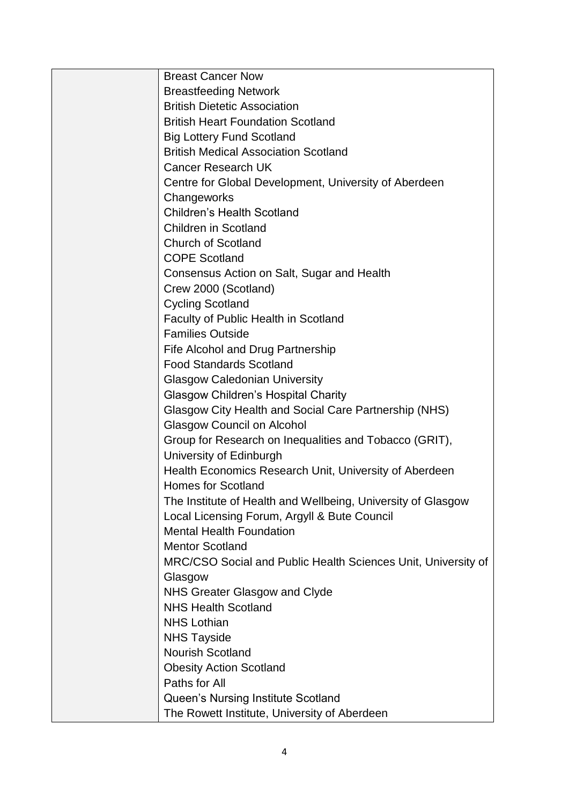| <b>Breast Cancer Now</b>                                      |
|---------------------------------------------------------------|
| <b>Breastfeeding Network</b>                                  |
| <b>British Dietetic Association</b>                           |
| <b>British Heart Foundation Scotland</b>                      |
| <b>Big Lottery Fund Scotland</b>                              |
| <b>British Medical Association Scotland</b>                   |
| Cancer Research UK                                            |
| Centre for Global Development, University of Aberdeen         |
| Changeworks                                                   |
| <b>Children's Health Scotland</b>                             |
| <b>Children in Scotland</b>                                   |
| <b>Church of Scotland</b>                                     |
| <b>COPE Scotland</b>                                          |
| Consensus Action on Salt, Sugar and Health                    |
| Crew 2000 (Scotland)                                          |
| <b>Cycling Scotland</b>                                       |
| <b>Faculty of Public Health in Scotland</b>                   |
| <b>Families Outside</b>                                       |
| Fife Alcohol and Drug Partnership                             |
| <b>Food Standards Scotland</b>                                |
| <b>Glasgow Caledonian University</b>                          |
| <b>Glasgow Children's Hospital Charity</b>                    |
| Glasgow City Health and Social Care Partnership (NHS)         |
| <b>Glasgow Council on Alcohol</b>                             |
| Group for Research on Inequalities and Tobacco (GRIT),        |
| University of Edinburgh                                       |
| Health Economics Research Unit, University of Aberdeen        |
| <b>Homes for Scotland</b>                                     |
| The Institute of Health and Wellbeing, University of Glasgow  |
| Local Licensing Forum, Argyll & Bute Council                  |
| <b>Mental Health Foundation</b>                               |
| <b>Mentor Scotland</b>                                        |
| MRC/CSO Social and Public Health Sciences Unit, University of |
| Glasgow                                                       |
| <b>NHS Greater Glasgow and Clyde</b>                          |
| <b>NHS Health Scotland</b>                                    |
| <b>NHS Lothian</b>                                            |
| <b>NHS Tayside</b>                                            |
| <b>Nourish Scotland</b>                                       |
| <b>Obesity Action Scotland</b>                                |
| Paths for All                                                 |
| Queen's Nursing Institute Scotland                            |
| The Rowett Institute, University of Aberdeen                  |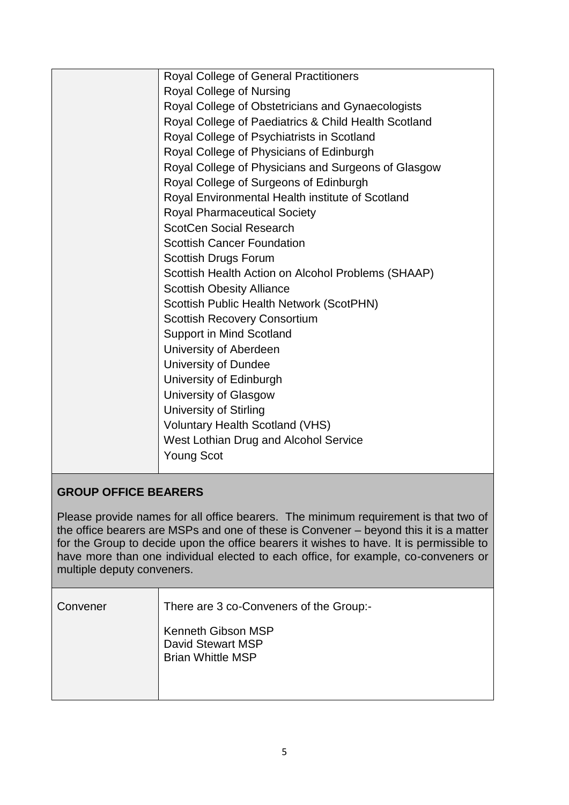| Royal College of General Practitioners               |
|------------------------------------------------------|
| Royal College of Nursing                             |
| Royal College of Obstetricians and Gynaecologists    |
| Royal College of Paediatrics & Child Health Scotland |
| Royal College of Psychiatrists in Scotland           |
| Royal College of Physicians of Edinburgh             |
| Royal College of Physicians and Surgeons of Glasgow  |
| Royal College of Surgeons of Edinburgh               |
| Royal Environmental Health institute of Scotland     |
| <b>Royal Pharmaceutical Society</b>                  |
| <b>ScotCen Social Research</b>                       |
| <b>Scottish Cancer Foundation</b>                    |
| <b>Scottish Drugs Forum</b>                          |
| Scottish Health Action on Alcohol Problems (SHAAP)   |
| <b>Scottish Obesity Alliance</b>                     |
| Scottish Public Health Network (ScotPHN)             |
| <b>Scottish Recovery Consortium</b>                  |
| <b>Support in Mind Scotland</b>                      |
| University of Aberdeen                               |
| University of Dundee                                 |
| University of Edinburgh                              |
| University of Glasgow                                |
| <b>University of Stirling</b>                        |
| <b>Voluntary Health Scotland (VHS)</b>               |
| West Lothian Drug and Alcohol Service                |
| <b>Young Scot</b>                                    |
|                                                      |

## **GROUP OFFICE BEARERS**

Please provide names for all office bearers. The minimum requirement is that two of the office bearers are MSPs and one of these is Convener – beyond this it is a matter for the Group to decide upon the office bearers it wishes to have. It is permissible to have more than one individual elected to each office, for example, co-conveners or multiple deputy conveners.

| Convener | There are 3 co-Conveners of the Group:-                                    |
|----------|----------------------------------------------------------------------------|
|          | <b>Kenneth Gibson MSP</b><br>David Stewart MSP<br><b>Brian Whittle MSP</b> |
|          |                                                                            |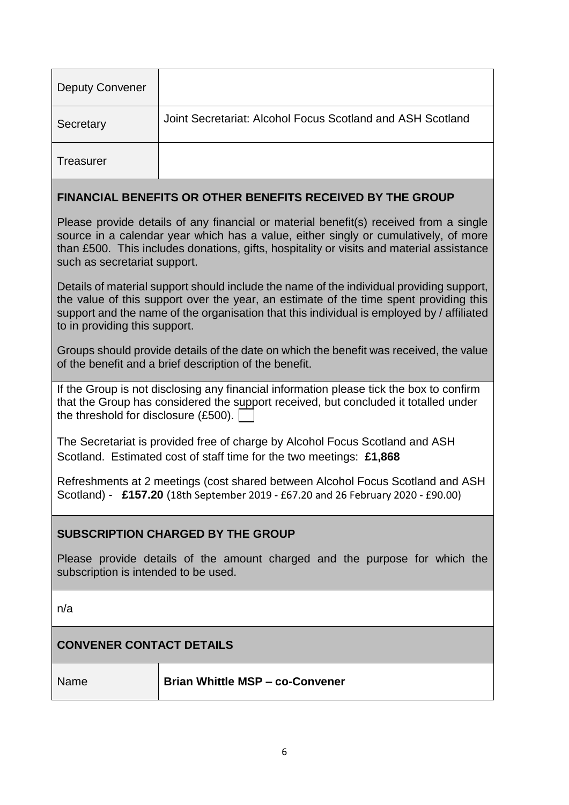| <b>Deputy Convener</b>                                                                                                                                                                                                                                                                                          |                                                            |  |
|-----------------------------------------------------------------------------------------------------------------------------------------------------------------------------------------------------------------------------------------------------------------------------------------------------------------|------------------------------------------------------------|--|
| Secretary                                                                                                                                                                                                                                                                                                       | Joint Secretariat: Alcohol Focus Scotland and ASH Scotland |  |
| <b>Treasurer</b>                                                                                                                                                                                                                                                                                                |                                                            |  |
| <b>FINANCIAL BENEFITS OR OTHER BENEFITS RECEIVED BY THE GROUP</b>                                                                                                                                                                                                                                               |                                                            |  |
| Please provide details of any financial or material benefit(s) received from a single<br>source in a calendar year which has a value, either singly or cumulatively, of more<br>than £500. This includes donations, gifts, hospitality or visits and material assistance<br>such as secretariat support.        |                                                            |  |
| Details of material support should include the name of the individual providing support,<br>the value of this support over the year, an estimate of the time spent providing this<br>support and the name of the organisation that this individual is employed by / affiliated<br>to in providing this support. |                                                            |  |
| Groups should provide details of the date on which the benefit was received, the value<br>of the benefit and a brief description of the benefit.                                                                                                                                                                |                                                            |  |
| If the Group is not disclosing any financial information please tick the box to confirm<br>that the Group has considered the support received, but concluded it totalled under<br>the threshold for disclosure (£500).                                                                                          |                                                            |  |

The Secretariat is provided free of charge by Alcohol Focus Scotland and ASH Scotland. Estimated cost of staff time for the two meetings: **£1,868**

Refreshments at 2 meetings (cost shared between Alcohol Focus Scotland and ASH Scotland) - **£157.20** (18th September 2019 - £67.20 and 26 February 2020 - £90.00)

#### **SUBSCRIPTION CHARGED BY THE GROUP**

Please provide details of the amount charged and the purpose for which the subscription is intended to be used.

n/a

#### **CONVENER CONTACT DETAILS**

Name **Brian Whittle MSP – co-Convener**